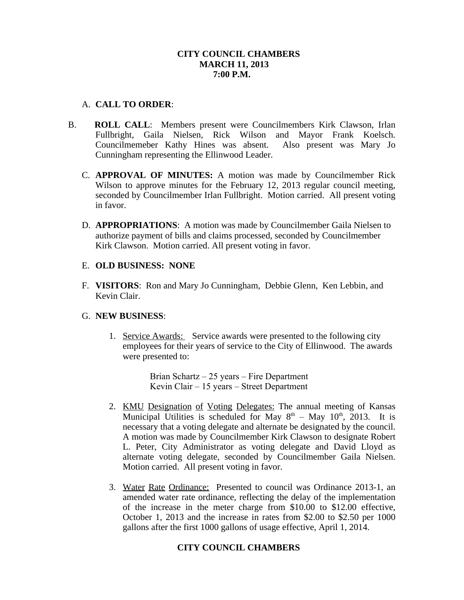## **CITY COUNCIL CHAMBERS MARCH 11, 2013 7:00 P.M.**

## A. **CALL TO ORDER**:

- B. **ROLL CALL**: Members present were Councilmembers Kirk Clawson, Irlan Fullbright, Gaila Nielsen, Rick Wilson and Mayor Frank Koelsch. Councilmemeber Kathy Hines was absent. Also present was Mary Jo Cunningham representing the Ellinwood Leader.
	- C. **APPROVAL OF MINUTES:** A motion was made by Councilmember Rick Wilson to approve minutes for the February 12, 2013 regular council meeting, seconded by Councilmember Irlan Fullbright. Motion carried. All present voting in favor.
	- D. **APPROPRIATIONS**: A motion was made by Councilmember Gaila Nielsen to authorize payment of bills and claims processed, seconded by Councilmember Kirk Clawson. Motion carried. All present voting in favor.

### E. **OLD BUSINESS: NONE**

F. **VISITORS**: Ron and Mary Jo Cunningham, Debbie Glenn, Ken Lebbin, and Kevin Clair.

## G. **NEW BUSINESS**:

1. Service Awards: Service awards were presented to the following city employees for their years of service to the City of Ellinwood. The awards were presented to:

> Brian Schartz – 25 years – Fire Department Kevin Clair – 15 years – Street Department

- 2. KMU Designation of Voting Delegates: The annual meeting of Kansas Municipal Utilities is scheduled for May  $8<sup>th</sup> - May 10<sup>th</sup>$ , 2013. It is necessary that a voting delegate and alternate be designated by the council. A motion was made by Councilmember Kirk Clawson to designate Robert L. Peter, City Administrator as voting delegate and David Lloyd as alternate voting delegate, seconded by Councilmember Gaila Nielsen. Motion carried. All present voting in favor.
- 3. Water Rate Ordinance: Presented to council was Ordinance 2013-1, an amended water rate ordinance, reflecting the delay of the implementation of the increase in the meter charge from \$10.00 to \$12.00 effective, October 1, 2013 and the increase in rates from \$2.00 to \$2.50 per 1000 gallons after the first 1000 gallons of usage effective, April 1, 2014.

## **CITY COUNCIL CHAMBERS**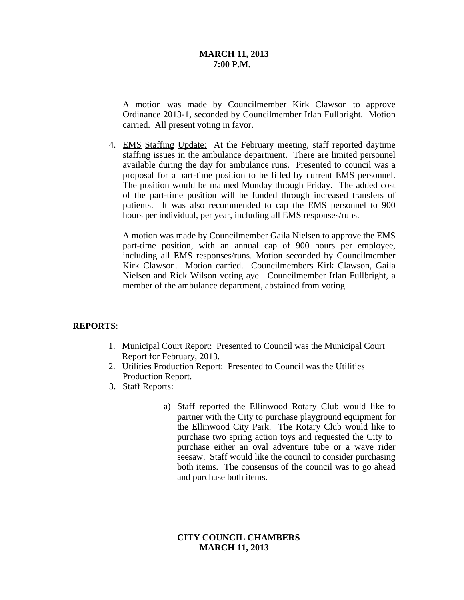#### **MARCH 11, 2013 7:00 P.M.**

A motion was made by Councilmember Kirk Clawson to approve Ordinance 2013-1, seconded by Councilmember Irlan Fullbright. Motion carried. All present voting in favor.

4. EMS Staffing Update: At the February meeting, staff reported daytime staffing issues in the ambulance department. There are limited personnel available during the day for ambulance runs. Presented to council was a proposal for a part-time position to be filled by current EMS personnel. The position would be manned Monday through Friday. The added cost of the part-time position will be funded through increased transfers of patients. It was also recommended to cap the EMS personnel to 900 hours per individual, per year, including all EMS responses/runs.

A motion was made by Councilmember Gaila Nielsen to approve the EMS part-time position, with an annual cap of 900 hours per employee, including all EMS responses/runs. Motion seconded by Councilmember Kirk Clawson. Motion carried. Councilmembers Kirk Clawson, Gaila Nielsen and Rick Wilson voting aye. Councilmember Irlan Fullbright, a member of the ambulance department, abstained from voting.

## **REPORTS**:

- 1. Municipal Court Report: Presented to Council was the Municipal Court Report for February, 2013.
- 2. Utilities Production Report: Presented to Council was the Utilities Production Report.
- 3. Staff Reports:
	- a) Staff reported the Ellinwood Rotary Club would like to partner with the City to purchase playground equipment for the Ellinwood City Park. The Rotary Club would like to purchase two spring action toys and requested the City to purchase either an oval adventure tube or a wave rider seesaw. Staff would like the council to consider purchasing both items. The consensus of the council was to go ahead and purchase both items.

## **CITY COUNCIL CHAMBERS MARCH 11, 2013**